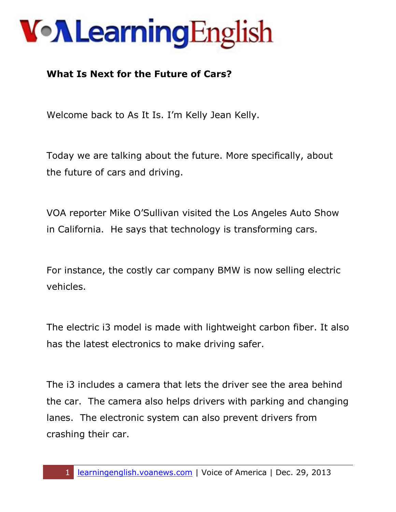

## **What Is Next for the Future of Cars?**

Welcome back to As It Is. I'm Kelly Jean Kelly.

Today we are talking about the future. More specifically, about the future of cars and driving.

VOA reporter Mike O'Sullivan visited the Los Angeles Auto Show in California. He says that technology is transforming cars.

For instance, the costly car company BMW is now selling electric vehicles.

The electric i3 model is made with lightweight carbon fiber. It also has the latest electronics to make driving safer.

The i3 includes a camera that lets the driver see the area behind the car. The camera also helps drivers with parking and changing lanes. The electronic system can also prevent drivers from crashing their car.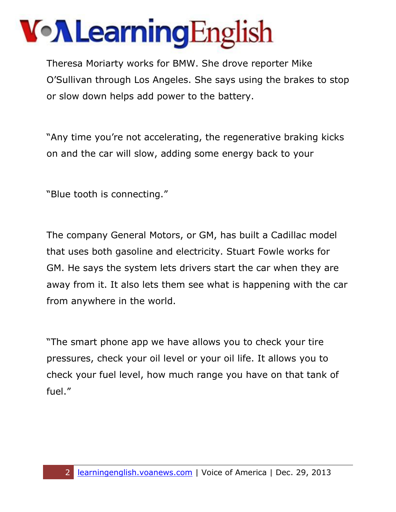## VollearningEnglish

Theresa Moriarty works for BMW. She drove reporter Mike O'Sullivan through Los Angeles. She says using the brakes to stop or slow down helps add power to the battery.

"Any time you're not accelerating, the regenerative braking kicks on and the car will slow, adding some energy back to your

"Blue tooth is connecting."

The company General Motors, or GM, has built a Cadillac model that uses both gasoline and electricity. Stuart Fowle works for GM. He says the system lets drivers start the car when they are away from it. It also lets them see what is happening with the car from anywhere in the world.

"The smart phone app we have allows you to check your tire pressures, check your oil level or your oil life. It allows you to check your fuel level, how much range you have on that tank of fuel."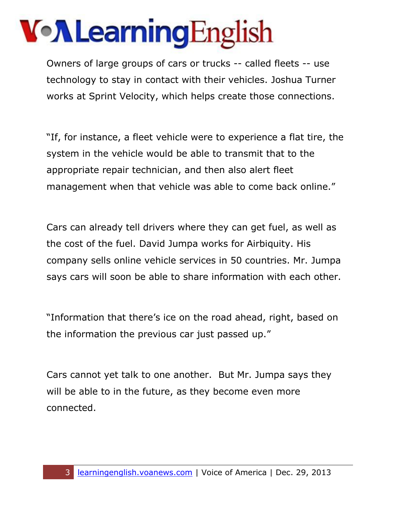## VollearningEnglish

Owners of large groups of cars or trucks -- called fleets -- use technology to stay in contact with their vehicles. Joshua Turner works at Sprint Velocity, which helps create those connections.

"If, for instance, a fleet vehicle were to experience a flat tire, the system in the vehicle would be able to transmit that to the appropriate repair technician, and then also alert fleet management when that vehicle was able to come back online."

Cars can already tell drivers where they can get fuel, as well as the cost of the fuel. David Jumpa works for Airbiquity. His company sells online vehicle services in 50 countries. Mr. Jumpa says cars will soon be able to share information with each other.

"Information that there's ice on the road ahead, right, based on the information the previous car just passed up."

Cars cannot yet talk to one another. But Mr. Jumpa says they will be able to in the future, as they become even more connected.